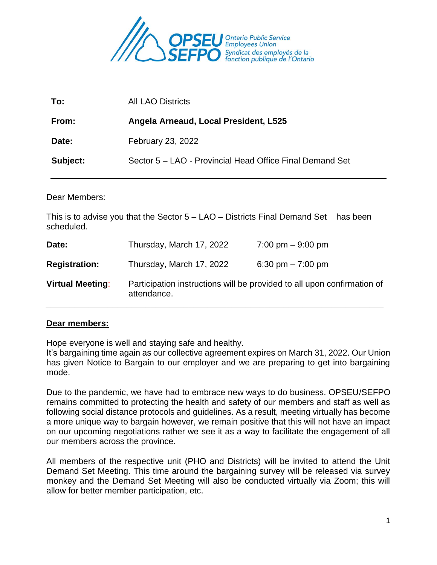

| To:      | <b>All LAO Districts</b>                                 |
|----------|----------------------------------------------------------|
| From:    | Angela Arneaud, Local President, L525                    |
| Date:    | February 23, 2022                                        |
| Subject: | Sector 5 - LAO - Provincial Head Office Final Demand Set |

Dear Members:

This is to advise you that the Sector 5 – LAO – Districts Final Demand Set has been scheduled.

| Date:                   | Thursday, March 17, 2022 | 7:00 pm $-9:00$ pm                                                      |
|-------------------------|--------------------------|-------------------------------------------------------------------------|
| <b>Registration:</b>    | Thursday, March 17, 2022 | 6:30 pm $-7:00$ pm                                                      |
| <b>Virtual Meeting:</b> | attendance.              | Participation instructions will be provided to all upon confirmation of |

#### **Dear members:**

Hope everyone is well and staying safe and healthy.

It's bargaining time again as our collective agreement expires on March 31, 2022. Our Union has given Notice to Bargain to our employer and we are preparing to get into bargaining mode.

Due to the pandemic, we have had to embrace new ways to do business. OPSEU/SEFPO remains committed to protecting the health and safety of our members and staff as well as following social distance protocols and guidelines. As a result, meeting virtually has become a more unique way to bargain however, we remain positive that this will not have an impact on our upcoming negotiations rather we see it as a way to facilitate the engagement of all our members across the province.

All members of the respective unit (PHO and Districts) will be invited to attend the Unit Demand Set Meeting. This time around the bargaining survey will be released via survey monkey and the Demand Set Meeting will also be conducted virtually via Zoom; this will allow for better member participation, etc.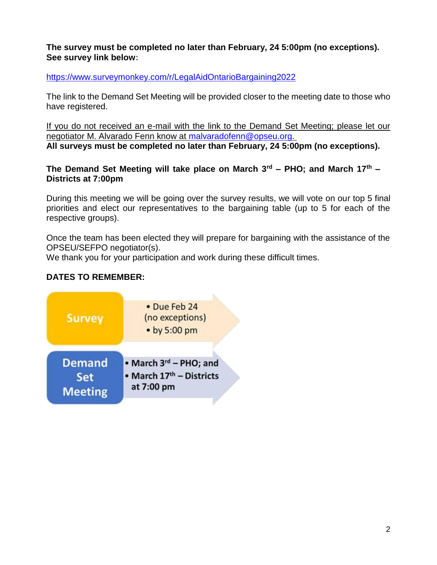### **The survey must be completed no later than February, 24 5:00pm (no exceptions). See survey link below:**

<https://www.surveymonkey.com/r/LegalAidOntarioBargaining2022>

The link to the Demand Set Meeting will be provided closer to the meeting date to those who have registered.

If you do not received an e-mail with the link to the Demand Set Meeting; please let our negotiator M. Alvarado Fenn know at [malvaradofenn@opseu.org.](mailto:malvaradofenn@opseu.org) **All surveys must be completed no later than February, 24 5:00pm (no exceptions).** 

## **The Demand Set Meeting will take place on March 3rd – PHO; and March 17th – Districts at 7:00pm**

During this meeting we will be going over the survey results, we will vote on our top 5 final priorities and elect our representatives to the bargaining table (up to 5 for each of the respective groups).

Once the team has been elected they will prepare for bargaining with the assistance of the OPSEU/SEFPO negotiator(s).

We thank you for your participation and work during these difficult times.

# **DATES TO REMEMBER:**

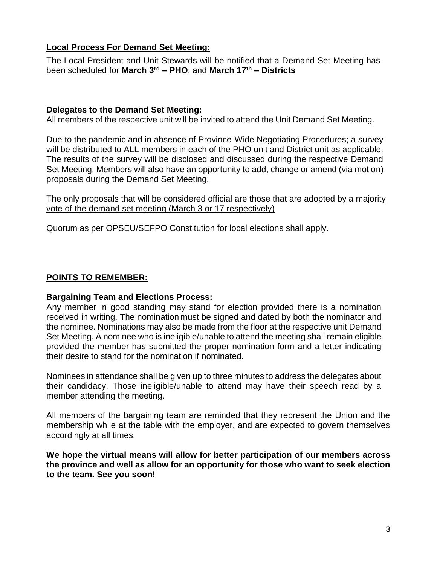## **Local Process For Demand Set Meeting:**

The Local President and Unit Stewards will be notified that a Demand Set Meeting has been scheduled for **March 3rd – PHO**; and **March 17th – Districts**

#### **Delegates to the Demand Set Meeting:**

All members of the respective unit will be invited to attend the Unit Demand Set Meeting.

Due to the pandemic and in absence of Province-Wide Negotiating Procedures; a survey will be distributed to ALL members in each of the PHO unit and District unit as applicable. The results of the survey will be disclosed and discussed during the respective Demand Set Meeting. Members will also have an opportunity to add, change or amend (via motion) proposals during the Demand Set Meeting.

The only proposals that will be considered official are those that are adopted by a majority vote of the demand set meeting (March 3 or 17 respectively)

Quorum as per OPSEU/SEFPO Constitution for local elections shall apply.

## **POINTS TO REMEMBER:**

#### **Bargaining Team and Elections Process:**

Any member in good standing may stand for election provided there is a nomination received in writing. The nomination must be signed and dated by both the nominator and the nominee. Nominations may also be made from the floor at the respective unit Demand Set Meeting. A nominee who is ineligible/unable to attend the meeting shall remain eligible provided the member has submitted the proper nomination form and a letter indicating their desire to stand for the nomination if nominated.

Nominees in attendance shall be given up to three minutes to address the delegates about their candidacy. Those ineligible/unable to attend may have their speech read by a member attending the meeting.

All members of the bargaining team are reminded that they represent the Union and the membership while at the table with the employer, and are expected to govern themselves accordingly at all times.

**We hope the virtual means will allow for better participation of our members across the province and well as allow for an opportunity for those who want to seek election to the team. See you soon!**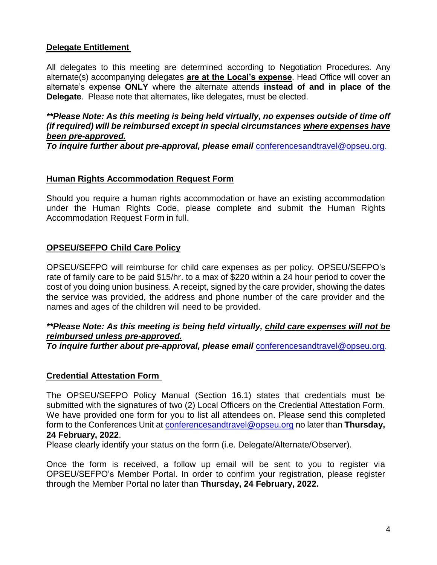### **Delegate Entitlement**

All delegates to this meeting are determined according to Negotiation Procedures. Any alternate(s) accompanying delegates **are at the Local's expense**. Head Office will cover an alternate's expense **ONLY** where the alternate attends **instead of and in place of the Delegate**. Please note that alternates, like delegates, must be elected.

*\*\*Please Note: As this meeting is being held virtually, no expenses outside of time off (if required) will be reimbursed except in special circumstances where expenses have been pre-approved.*

*To inquire further about pre-approval, please email* [conferencesandtravel@opseu.org.](mailto:conferencesandtravel@opseu.org)

#### **Human Rights Accommodation Request Form**

Should you require a human rights accommodation or have an existing accommodation under the Human Rights Code, please complete and submit the Human Rights Accommodation Request Form in full.

### **OPSEU/SEFPO Child Care Policy**

OPSEU/SEFPO will reimburse for child care expenses as per policy. OPSEU/SEFPO's rate of family care to be paid \$15/hr. to a max of \$220 within a 24 hour period to cover the cost of you doing union business. A receipt, signed by the care provider, showing the dates the service was provided, the address and phone number of the care provider and the names and ages of the children will need to be provided.

#### *\*\*Please Note: As this meeting is being held virtually, child care expenses will not be reimbursed unless pre-approved.*

*To inquire further about pre-approval, please email* [conferencesandtravel@opseu.org.](mailto:conferencesandtravel@opseu.org)

#### **Credential Attestation Form**

The OPSEU/SEFPO Policy Manual (Section 16.1) states that credentials must be submitted with the signatures of two (2) Local Officers on the Credential Attestation Form. We have provided one form for you to list all attendees on. Please send this completed form to the Conferences Unit at [conferencesandtravel@opseu.org](mailto:conferencesandtravel@opseu.org) no later than **Thursday, 24 February, 2022**.

Please clearly identify your status on the form (i.e. Delegate/Alternate/Observer).

Once the form is received, a follow up email will be sent to you to register via OPSEU/SEFPO's Member Portal. In order to confirm your registration, please register through the Member Portal no later than **Thursday, 24 February, 2022.**